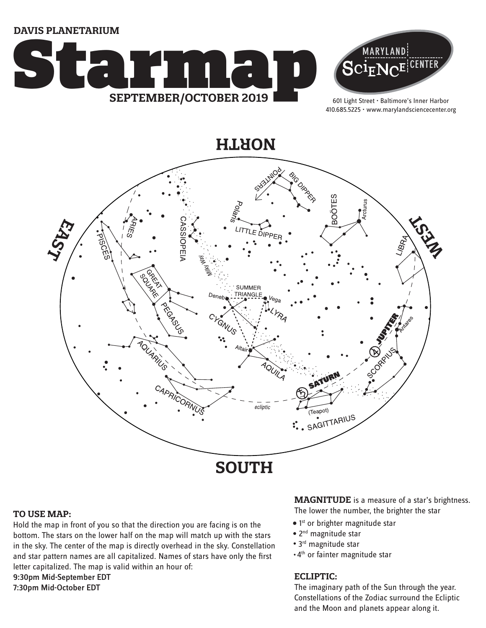**DAVIS PLANETARIUM**





601 Light Street • Baltimore's Inner Harbor 410.685.5225 • www.marylandsciencecenter.org

**NORTH**



#### **TO USE MAP:**

Hold the map in front of you so that the direction you are facing is on the bottom. The stars on the lower half on the map will match up with the stars in the sky. The center of the map is directly overhead in the sky. Constellation and star pattern names are all capitalized. Names of stars have only the first letter capitalized. The map is valid within an hour of: 9:30pm Mid-September EDT

7:30pm Mid-October EDT

## **MAGNITUDE** is a measure of a star's brightness.

The lower the number, the brighter the star

- $\bullet$  1st or brighter magnitude star
- 2<sup>nd</sup> magnitude star
- 3<sup>rd</sup> magnitude star
- 4th or fainter magnitude star

### **ECLIPTIC:**

The imaginary path of the Sun through the year. Constellations of the Zodiac surround the Ecliptic and the Moon and planets appear along it.